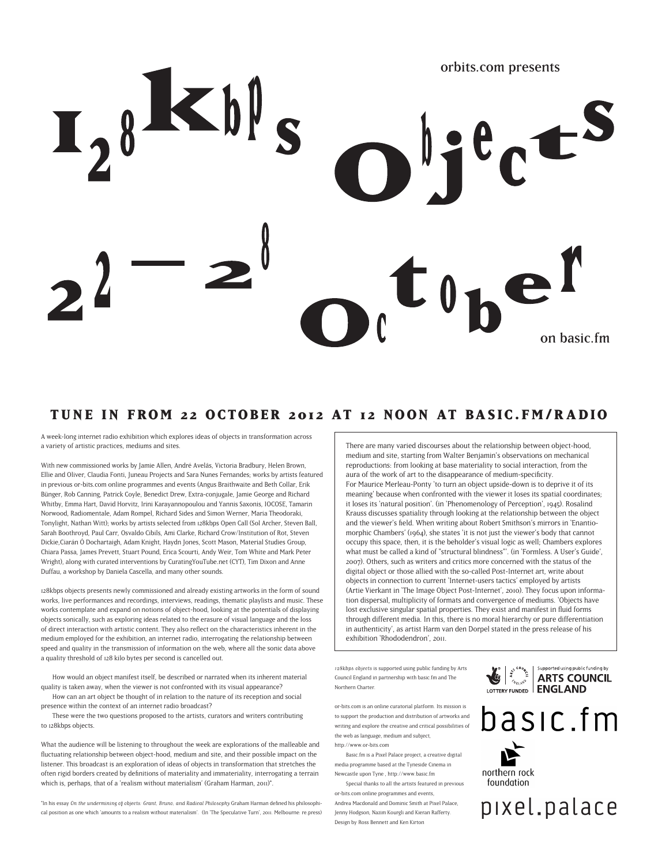# orbits.com presents on basic.fm

### **TUNE IN FROM 22 OCTOBER 2012 AT 12 NOON AT BASIC.FM/RADIO**

A week-long internet radio exhibition which explores ideas of objects in transformation across a variety of artistic practices, mediums and sites.

With new commissioned works by Jamie Allen, André Avelãs, Victoria Bradbury, Helen Brown, Ellie and Oliver, Claudia Fonti, Juneau Projects and Sara Nunes Fernandes; works by artists featured in previous or-bits.com online programmes and events (Angus Braithwaite and Beth Collar, Erik Bünger, Rob Canning, Patrick Coyle, Benedict Drew, Extra-conjugale, Jamie George and Richard Whitby, Emma Hart, David Horvitz, Irini Karayannopoulou and Yannis Saxonis, IOCOSE, Tamarin Norwood, Radiomentale, Adam Rompel, Richard Sides and Simon Werner, Maria Theodoraki, Tonylight, Nathan Witt); works by artists selected from 128kbps Open Call (Sol Archer, Steven Ball, Sarah Boothroyd, Paul Carr, Osvaldo Cibils, Ami Clarke, Richard Crow/Institution of Rot, Steven Dickie,Ciarán Ó Dochartaigh, Adam Knight, Haydn Jones, Scott Mason, Material Studies Group, Chiara Passa, James Prevett, Stuart Pound, Erica Scourti, Andy Weir, Tom White and Mark Peter Wright), along with curated interventions by CuratingYouTube.net (CYT), Tim Dixon and Anne Duffau, a workshop by Daniela Cascella, and many other sounds.

128kbps objects presents newly commissioned and already existing artworks in the form of sound works, live performances and recordings, interviews, readings, thematic playlists and music. These works contemplate and expand on notions of object-hood, looking at the potentials of displaying objects sonically, such as exploring ideas related to the erasure of visual language and the loss of direct interaction with artistic content. They also reflect on the characteristics inherent in the medium employed for the exhibition, an internet radio, interrogating the relationship between speed and quality in the transmission of information on the web, where all the sonic data above a quality threshold of 128 kilo bytes per second is cancelled out.

How would an object manifest itself, be described or narrated when its inherent material quality is taken away, when the viewer is not confronted with its visual appearance?

How can an art object be thought of in relation to the nature of its reception and social presence within the context of an internet radio broadcast?

These were the two questions proposed to the artists, curators and writers contributing to 128kbps objects.

What the audience will be listening to throughout the week are explorations of the malleable and fluctuating relationship between object-hood, medium and site, and their possible impact on the listener. This broadcast is an exploration of ideas of objects in transformation that stretches the often rigid borders created by definitions of materiality and immateriality, interrogating a terrain which is, perhaps, that of a 'realism without materialism' (Graham Harman, 2011)\*.

\*In his essay On the undermining of objects: Grant, Bruno, and Radical Philosophy Graham Harman defined his philosophical position as one which 'amounts to a realism without materialism'. (In 'The Speculative Turn', 2011. Melbourne: re.press)

There are many varied discourses about the relationship between object-hood, medium and site, starting from Walter Benjamin's observations on mechanical reproductions: from looking at base materiality to social interaction, from the aura of the work of art to the disappearance of medium-specificity. For Maurice Merleau-Ponty 'to turn an object upside-down is to deprive it of its meaning' because when confronted with the viewer it loses its spatial coordinates; it loses its 'natural position'. (in 'Phenomenology of Perception', 1945). Rosalind Krauss discusses spatiality through looking at the relationship between the object and the viewer's field. When writing about Robert Smithson's mirrors in 'Enantiomorphic Chambers' (1964), she states 'it is not just the viewer's body that cannot occupy this space, then, it is the beholder's visual logic as well; Chambers explores what must be called a kind of "structural blindness"'. (in 'Formless. A User's Guide', 2007). Others, such as writers and critics more concerned with the status of the digital object or those allied with the so-called Post-Internet art, write about objects in connection to current 'Internet-users tactics' employed by artists (Artie Vierkant in 'The Image Object Post-Internet', 2010). They focus upon information dispersal, multiplicity of formats and convergence of mediums. 'Objects have lost exclusive singular spatial properties. They exist and manifest in fluid forms through different media. In this, there is no moral hierarchy or pure differentiation in authenticity', as artist Harm van den Dorpel stated in the press release of his exhibition 'Rhododendron', 2011.

128kbps objects is supported using public funding by Arts Council England in partnership with basic.fm and The Northern Charter.

or-bits.com is an online curatorial platform. Its mission is to support the production and distribution of artworks and writing and explore the creative and critical possibilities of the web as language, medium and subject, http://www.or-bits.com

Basic.fm is a Pixel Palace project, a creative digital media programme based at the Tyneside Cinema in

Newcastle upon Tyne , http://www.basic.fm Special thanks to all the artists featured in previous

or-bits.com online programmes and events Andrea Macdonald and Dominic Smith at Pixel Palace, Jenny Hodgson, Nazim Kourgli and Kieran Rafferty. Design by Ross Bennett and Ken Kirton





pixel.palace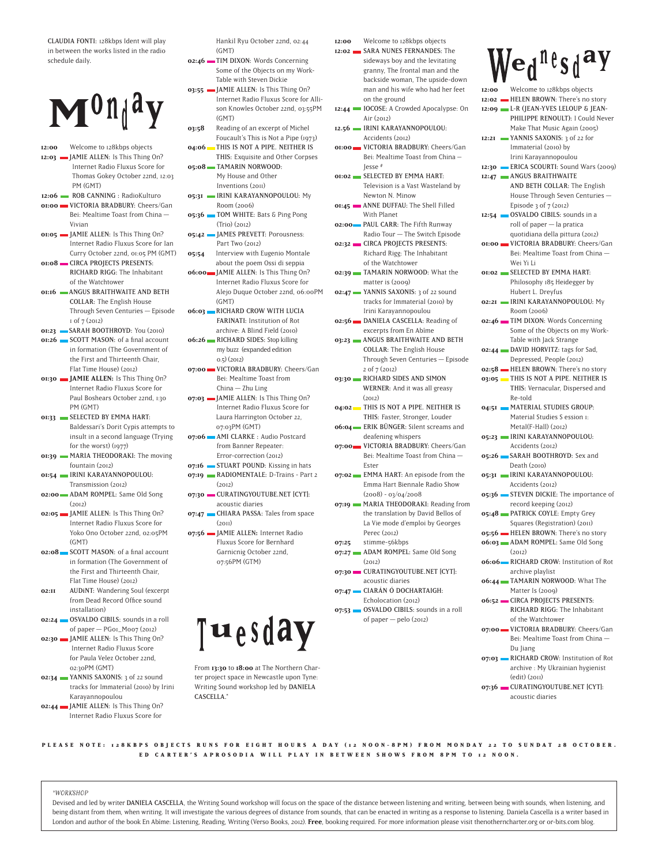CLAUDIA FONTI: 128kbps Ident will play in between the works listed in the radio schedule daily.



- **12:00** Welcome to 128kbps objects 12:03 **JAMIE ALLEN:** Is This Thing On? Internet Radio Fluxus Score for Thomas Gokey October 22nd, 12:03 PM (GMT)
- 12:06 **ROB CANNING** : RadioKulturo **01:00 WICTORIA BRADBURY:** Cheers/Gan Bei: Mealtime Toast from China — Vivian
- **01:05 JAMIE ALLEN:** Is This Thing On? Internet Radio Fluxus Score for Ian Curry October 22nd, 01:05 PM (GMT)
- **01:08** CIRCA PROJECTS PRESENTS: RICHARD RIGG: The Inhabitant of the Watchtower
- **01:16 ANGUS BRAITHWAITE AND BETH** COLLAR: The English House Through Seven Centuries — Episode 1 of 7 (2012)
- **01:23** SARAH BOOTHROYD: You (2010) **01:26** SCOTT MASON: of a final account in formation (The Government of
- the First and Thirteenth Chair, Flat Time House) (2012) **01:30 MIE ALLEN:** Is This Thing On?
- Internet Radio Fluxus Score for Paul Boshears October 22nd, 1:30 PM (GMT) **01:33 • SELECTED BY EMMA HART:**
- Baldessari's Dorit Cypis attempts to insult in a second language (Trying for the worst) (1977)
- **01:39** MARIA THEODORAKI: The moving fountain (2012) **01:54**  IRINI KARAYANNOPOULOU:
- Transmission (2012)
- **02:00** ADAM ROMPEL: Same Old Song  $(2012)$
- **02:05 JAMIE ALLEN:** Is This Thing On? Internet Radio Fluxus Score for Yoko Ono October 22nd, 02:05PM (GMT)
- **02:08** SCOTT MASON: of a final account in formation (The Government of the First and Thirteenth Chair, Flat Time House) (2012)
- **02:II** AUDINT: Wandering Soul (excerpt from Dead Record Office sound installation)
- **02:24** OSVALDO CIBILS: sounds in a roll of paper — PG01\_M007 (2012) **02:30 JAMIE ALLEN:** Is This Thing On?
- Internet Radio Fluxus Score for Paula Velez October 22nd, 02:30PM (GMT)
- **02:34** YANNIS SAXONIS: 3 of 22 sound tracks for Immaterial (2010) by Irini Karayannopoulou
- **02:44** JAMIE ALLEN: Is This Thing On? Internet Radio Fluxus Score for

Hankil Ryu October 22nd, 02:44 (GMT)

**02:46** TIM DIXON: Words Concerning Some of the Objects on my Work-Table with Steven Dickie

**03:55 JAMIE ALLEN:** Is This Thing On? Internet Radio Fluxus Score for Allison Knowles October 22nd, 03:55PM (GMT)

- **03:58**  Reading of an excerpt of Michel Foucault's This is Not a Pipe (1973) **04:06** THIS IS NOT A PIPE. NEITHER IS
- THIS: Exquisite and Other Corpses **05:08**  TAMARIN NORWOOD:
	- My House and Other Inventions (2011)
- **05:31 IRINI KARAYANNOPOULOU:** My Room (2006)
- **05:36** TOM WHITE: Bats & Ping Pong (Trio) (2012) **05:42 JAMES PREVETT: Porousness:**
- Part Two (2012) **05:54** Interview with Eugenio Montale
- about the poem Ossi di seppia **06:00** JAMIE ALLEN: Is This Thing On? Internet Radio Fluxus Score for Alejo Duque October 22nd, 06:00PM (GMT)
- **06:03** RICHARD CROW WITH LUCIA FARINATI: Institution of Rot archive: A Blind Field (2010)
- **06:26** RICHARD SIDES: Stop killing my buzz (expanded edition 0.5) (2012)
- **07:00** VICTORIA BRADBURY: Cheers/Gan Bei: Mealtime Toast from China — Zhu Ling
- **07:03 JAMIE ALLEN:** Is This Thing On? Internet Radio Fluxus Score for Laura Harrington October 22, 07:03PM (GMT)
- **07:06** AMI CLARKE : Audio Postcard from Banner Repeater: Error-correction (2012)
- **07:16** STUART POUND: Kissing in hats **07:19** RADIOMENTALE: D-Trains - Part 2
- $(2012)$ **07:30 CURATINGYOUTUBE.NET [CYT]:** acoustic diaries
- **07:47** CHIARA PASSA: Tales from space  $(2011)$
- **07:56**  JAMIE ALLEN**:** Internet Radio Fluxus Score for Bernhard Garnicnig October 22nd, 07:56PM (GTM)



From **13:30** to **18:00** at The Northern Charter project space in Newcastle upon Tyne: Writing Sound workshop led by DANIELA CASCELLA.\*

- **12:00** Welcome to 128kbps objects **12:02** SARA NUNES FERNANDES: The sideways boy and the levitating granny, The frontal man and the backside woman, The upside-down man and his wife who had her feet on the ground 12:44 IOCOSE: A Crowded Apocalypse: On Air (2012)
- **12.56**  IRINI KARAYANNOPOULOU: Accidents (2012)
- **01:00** VICTORIA BRADBURY: Cheers/Gan Bei: Mealtime Toast from China – Jesse #
- **01:02** SELECTED BY EMMA HART: Television is a Vast Wasteland by Newton N. Minow
- **01:45** ANNE DUFFAU: The Shell Filled With Planet
- **02:00** PAUL CARR: The Fifth Runway Radio Tour — The Switch Episode **02:32** CIRCA PROJECTS PRESENTS: Richard Rigg: The Inhabitant
- of the Watchtower **02:39** TAMARIN NORWOOD: What the
- matter is (2009) **02:47** YANNIS SAXONIS: 3 of 22 sound tracks for Immaterial (2010) by Irini Karayannopoulou
- **02:56** DANIELA CASCELLA: Reading of excerpts from En Abîme **03:23** ANGUS BRAITHWAITE AND BETH
- COLLAR: The English House Through Seven Centuries — Episode 2 of 7 (2012)
- **03:30** RICHARD SIDES AND SIMON WERNER: And it was all greasy  $(2012)$
- **04:02** THIS IS NOT A PIPE. NEITHER IS THIS: Faster, Stronger, Louder **06:04** ERIK BÜNGER: Silent screams and
- deafening whispers **07:00** VICTORIA BRADBURY: Cheers/Gan Bei: Mealtime Toast from China —
- Ester **07:02** EMMA HART: An episode from the Emma Hart Biennale Radio Show
- $(2008) 03/04/2008$ **07:19** MARIA THEODORAKI: Reading from the translation by David Bellos of La Vie mode d'emploi by Georges
- Perec (2012)
- **07:25** stimme-56kbps **07:27** ADAM ROMPEL: Same Old Song
- $(2012)$ **07:30** CURATINGYOUTUBE.NET [CYT]:
- acoustic diaries **07:47** CIARÁN Ó DOCHARTAIGH:
- Echolocation (2012) **07:53** OSVALDO CIBILS: sounds in a roll of paper  $-$  pelo (2012)

 $W_{e,1}$ <sup>n</sup>es<sub>d</sub>ay

| 12:00 | Welcome to 128kbps objects                 |  |
|-------|--------------------------------------------|--|
|       | 12:02 HELEN BROWN: There's no story        |  |
|       | 12:09 L-R (JEAN-YVES LELOUP & JEAN-        |  |
|       | PHILIPPE RENOULT): I Could Never           |  |
|       | Make That Music Again (2005)               |  |
|       | 12:21 WANNIS SAXONIS: 3 of 22 for          |  |
|       |                                            |  |
|       | Immaterial (2010) by                       |  |
|       | Irini Karayannopoulou                      |  |
|       | 12:30 ERICA SCOURTI: Sound Wars (2009)     |  |
|       | 12:47 ANGUS BRAITHWAITE                    |  |
|       | AND BETH COLLAR: The English               |  |
|       | House Through Seven Centuries -            |  |
|       | Episode 3 of 7 (2012)                      |  |
|       | 12:54 CSVALDO CIBILS: sounds in a          |  |
|       | roll of paper - la pratica                 |  |
|       | quotidiana della pittura (2012)            |  |
|       | <b>01:00 WICTORIA BRADBURY:</b> Cheers/Gan |  |
|       | Bei: Mealtime Toast from China -           |  |
|       | Wei Yi Li                                  |  |
|       | <b>OI:02 SELECTED BY EMMA HART:</b>        |  |
|       | Philosophy 185 Heidegger by                |  |
|       | Hubert L. Dreyfus                          |  |
|       | 02:21 <b>IRINI KARAYANNOPOULOU</b> : My    |  |
|       | Room (2006)                                |  |
|       | 02:46 TIM DIXON: Words Concerning          |  |
|       | Some of the Objects on my Work-            |  |
|       | Table with Jack Strange                    |  |
|       | 02:44 DAVID HORVITZ: tags for Sad,         |  |
|       | Depressed, People (2012)                   |  |
|       | 02:58 - HELEN BROWN: There's no story      |  |
|       | 03:05 THIS IS NOT A PIPE. NEITHER IS       |  |
|       |                                            |  |
|       | THIS: Vernacular, Dispersed and            |  |
|       | Re-told                                    |  |
| 04:51 | MATERIAL STUDIES GROUP:                    |  |
|       | Material Studies S ession 1:               |  |
|       | Metal(F-Hall) (2012)                       |  |
|       | 05:23   IRINI KARAYANNOPOULOU:             |  |
|       | Accidents (2012)                           |  |
|       | 05:26 SARAH BOOTHROYD: Sex and             |  |
|       | Death (2010)                               |  |
|       | 05:31 IRINI KARAYANNOPOULOU:               |  |
|       | Accidents (2012)                           |  |
|       | 05:36 STEVEN DICKIE: The importance of     |  |
|       | record keeping (2012)                      |  |
|       | 05:48 PATRICK COYLE: Empty Grey            |  |
|       | Squares (Registration) (2011)              |  |
|       | 05:56 HELEN BROWN: There's no story        |  |
|       | 06:03 ADAM ROMPEL: Same Old Song           |  |
|       | (2012)                                     |  |
|       | o6:06 RICHARD CROW: Institution of Rot     |  |
|       | archive playlist                           |  |
|       | o6:44 TAMARIN NORWOOD: What The            |  |
|       | Matter Is (2009)                           |  |
|       | 06:52 CIRCA PROJECTS PRESENTS:             |  |
|       | RICHARD RIGG: The Inhabitant               |  |
|       | of the Watchtower                          |  |
|       |                                            |  |
|       |                                            |  |
|       | Bei: Mealtime Toast from China-            |  |
|       | Du Jiang                                   |  |
|       | 07:03 RICHARD CROW: Institution of Rot     |  |
|       | archive : My Ukrainian hygienist           |  |
|       | (edit) (2011)                              |  |
|       | 07:36 CURATINGYOUTUBE.NET [CYT]:           |  |
|       | acoustic diaries                           |  |

PLEASE NOTE: 128KBPS OBJECTS RUNS FOR EIGHT HOURS A DAY (12 NOON-8PM) FROM MONDAY 22 TO SUNDAT 28 OCTOBER. **ED CARTER'S APROSODIA WILL PLAY IN BETWEEN SHOWS FROM 8PM TO 12 NOON.**

#### \*WORKSHOP

Devised and led by writer DANIELA CASCELLA, the Writing Sound workshop will focus on the space of the distance between listening and writing, between being with sounds, when listening, and being distant from them, when writing. It will investigate the various degrees of distance from sounds, that can be enacted in writing as a response to listening. Daniela Cascella is a writer based in London and author of the book En Abîme: Listening, Reading, Writing (Verso Books, 2012). **Free**, booking required. For more information please visit thenotherncharter.org or or-bits.com blog.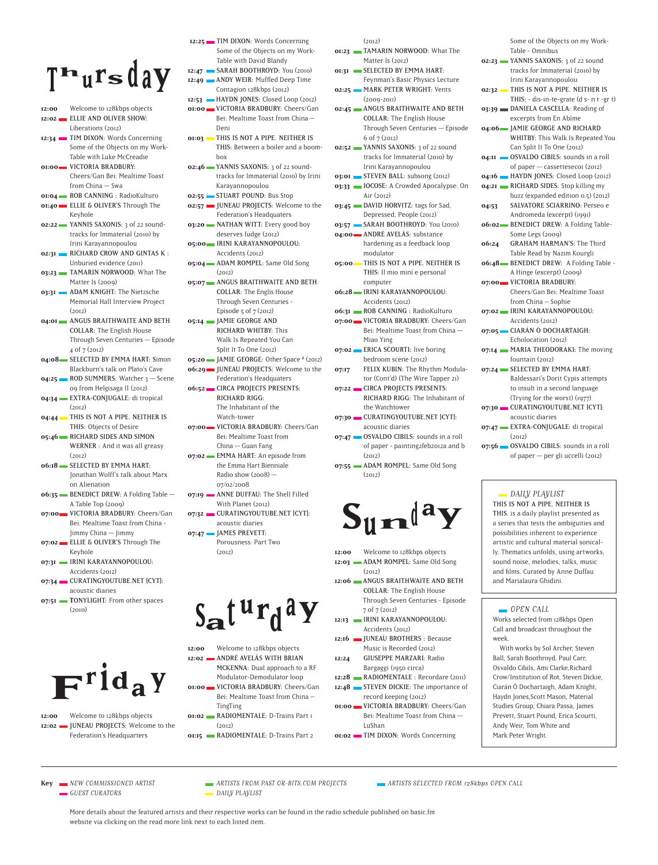## $T^n$ ursday

- **12:00** Welcome to 128kbps objects **12:02** ELLIE AND OLIVER SHOW: Liberations (2012)
- **12:34** TIM DIXON: Words Concerning Some of the Objects on my Work-Table with Luke McCreadie
- **01:00**  VICTORIA BRADBURY: Cheers/Gan Bei: Mealtime Toast from China — Swa
- **01:04 ROB CANNING** : RadioKulturo **01:40**  ELLIE & OLIVER'S Through The Keyhole
- **02:22** YANNIS SAXONIS: 3 of 22 soundtracks for Immaterial (2010) by Irini Karayannopoulou
- **02:31** RICHARD CROW AND GINTAS K : Unburied evidence (2011)
- **03:23** TAMARIN NORWOOD: What The Matter Is (2009)
- **03:31** ADAM KNIGHT: The Nietzsche Memorial Hall Interview Project  $(2012)$
- **04:01** ANGUS BRAITHWAITE AND BETH COLLAR: The English House Through Seven Centuries — Episode 4 of 7 (2012)
- **04:08** SELECTED BY EMMA HART: Simon Blackburn's talk on Plato's Cave
- **04:25** ROD SUMMERS: Watcher 3 Scene 09 from Helgisaga II (2012) **04:34**  EXTRA-CONJUGALE: di tropical
- $(2012)$ **04:44** THIS IS NOT A PIPE. NEITHER IS
- THIS: Objects of Desire
- **05:46**  RICHARD SIDES AND SIMON WERNER : And it was all greasy  $(2012)$
- **06:18** SELECTED BY EMMA HART: Jonathan Wolff's talk about Marx on Alienation
- **06:35** BENEDICT DREW: A Folding Table A Table Top (2009)
- **07:00** VICTORIA BRADBURY: Cheers/Gan Bei: Mealtime Toast from China - Jimmy China — Jimmy
- **07:02** ELLIE & OLIVER'S Through The Keyhole **07:31 IRINI KARAYANNOPOULOU:**
- Accidents (2012) **07:34** CURATINGYOUTUBE.NET [CYT]:
- acoustic diaries **07:51** TONYLIGHT: From other spaces
- $(2010)$



**12:00** Welcome to 128kbps objects 12:02 **JUNEAU PROJECTS:** Welcome to the Federation's Headquarters

- 12:25 TIM DIXON: Words Concerning Some of the Objects on my Work-Table with David Blandy
- **12:47** SARAH BOOTHROYD: You (2010) 12:49 **ANDY WEIR:** Muffled Deep Time Contagion 128kbps (2012)
- **12:53**  HAYDN JONES: Closed Loop (2012) **01:00 WICTORIA BRADBURY:** Cheers/Gan
- Bei: Mealtime Toast from China Deni **01:03**  THIS IS NOT A PIPE. NEITHER IS
- THIS: Between a boiler and a boombox
- **02:46** YANNIS SAXONIS: 3 of 22 soundtracks for Immaterial (2010) by Irini Karayannopoulou **02:55** STUART POUND: Bus Stop
- **02:57 JUNEAU PROJECTS:** Welcome to the Federation's Headquaters
- **03:20** NATHAN WITT: Every good boy deserves fudge (2012)
- **05:00**  IRINI KARAYANNOPOULOU: Accidents (2012)
- **05:04** ADAM ROMPEL: Same Old Song  $(2012)$
- **05:07** ANGUS BRAITHWAITE AND BETH COLLAR: The Englis House Through Seven Centuries - Episode  $5$  of  $7$  (2012)
- **05:14**  JAMIE GEORGE AND RICHARD WHITBY: This Walk Is Repeated You Can
- Split It To One (2012) **05:20 JAMIE GEORGE:** Other Space # (2012) **06:29** JUNEAU PROJECTS: Welcome to the
- Federation's Headquaters
- **06:52**  CIRCA PROJECTS PRESENTS: RICHARD RIGG: The Inhabitant of the Watch-tower
- **07:00** VICTORIA BRADBURY: Cheers/Gan Bei: Mealtime Toast from China — Guan Fang
- **07:02** EMMA HART: An episode from the Emma Hart Bienniale Radio show  $(2008)$  -07/02/2008
- **07:19** ANNE DUFFAU: The Shell Filled With Planet (2012) **07:32 CURATINGYOUTUBE.NET [CYT]:**
- acoustic diaries **07:47** JAMES PREVETT:
	- Porousness: Part Two  $(2012)$

 $S_{\mathbf{a}} t^{\mathbf{u}} r_{\mathbf{d}}^{\mathbf{a}} Y$ 

- **12:00** Welcome to 128kbps objects **12:02**  ANDRÉ AVELÃS WITH BRIAN MCKENNA: Dual approach to a RF Modulator-Demodulator loop
- **01:00 WICTORIA BRADBURY:** Cheers/Gan Bei: Mealtime Toast from China –
- TingTing **01:02** RADIOMENTALE: D-Trains Part 1
- $(2012)$ **01:15** RADIOMENTALE: D-Trains Part 2
- $(2012)$
- **01:23** TAMARIN NORWOOD: What The Matter Is (2012) **01:31** SELECTED BY EMMA HART: Feynman's Basic Physics Lecture **02:25** MARK PETER WRIGHT: Vents  $(2009 - 2011)$ **02:45** ANGUS BRAITHWAITE AND BETH COLLAR: The English House Through Seven Centuries — Episode 6 of 7 (2012) **02:52** YANNIS SAXONIS: 3 of 22 sound tracks for Immaterial (2010) by Irini Karayannopoulou **03:01** STEVEN BALL: subsong (2012)
- **03:33** IOCOSE: A Crowded Apocalypse: On Air (2012)
- **03:45** DAVID HORVITZ: tags for Sad, Depressed, People (2012) **03:57** SARAH BOOTHROYD: You (2010)
- **04:00** ANDRÉ AVELÃS: substance hardening as a feedback loop
- modulator **05:00**  THIS IS NOT A PIPE. NEITHER IS THIS: Il mio mini e personal
- computer **06:28**  IRINI KARAYANNOPOULOU: Accidents (2012) **06:31 • ROB CANNING** : RadioKulturo
- **07:00** VICTORIA BRADBURY: Cheers/Gan Bei: Mealtime Toast from China — Miao Ying
- **07:02** ERICA SCOURTI: live boring bedroom scene (2012) **07:17** FELIX KUBIN: The Rhythm Modula-
- tor (Cont'd) (The Wire Tapper 21) **07:22** CIRCA PROJECTS PRESENTS:
- RICHARD RIGG: The Inhabitant of the Watchtower **07:30 CURATINGYOUTUBE.NET [CYT]:**
- acoustic diaries **07:47** OSVALDO CIBILS: sounds in a roll
- of paper painting2feb2012a and b  $(2012)$ **07:55** ADAM ROMPEL: Same Old Song
- $(2012)$



- **12:00** Welcome to 128kbps objects **12:03** ADAM ROMPEL: Same Old Song  $(2012)$
- **12:06**  ANGUS BRAITHWAITE AND BETH COLLAR: The English House Through Seven Centuries - Episode 7 of 7 (2012)
- **12:13**  IRINI KARAYANNOPOULOU: Accidents (2012)
- **12:16 JUNEAU BROTHERS** : Because Music is Recorded (2012)
- **12:24**  GIUSEPPE MARZARI: Radio Bargaggi (1950 circa)
- 12:28 **RADIOMENTALE** : Recordare (2011) **12:48** STEVEN DICKIE: The importance of
- record keeping (2012) **01:00 WICTORIA BRADBURY:** Cheers/Gan
- Bei: Mealtime Toast from China LuShan
- **01:02** TIM DIXON: Words Concerning

Some of the Objects on my Work-Table - Omnibus

- **02:23** YANNIS SAXONIS: 3 of 22 sound tracks for Immaterial (2010) by Irini Karayannopoulou **02:32**  THIS IS NOT A PIPE. NEITHER IS THIS: - dis-in-te-grate (d s- n t -gr t) **03:39** DANIELA CASCELLA: Reading of excerpts from En Abîme **04:06**  JAMIE GEORGE AND RICHARD WHITBY: This Walk Is Repeated You Can Split It To One (2012) **04:II** OSVALDO CIBILS: sounds in a roll of paper  $-$  cassetteseco $(2012)$ **04:16 HAYDN JONES:** Closed Loop (2012) **04:21** RICHARD SIDES: Stop killing my buzz (expanded edition 0.5) (2012) **04:53**  SALVATORE SCIARRINO: Perseo e Andromeda (excerpt) (1991) **06:02** BENEDICT DREW: A Folding Table-Some Legs (2009) **06:24**  GRAHAM HARMAN'S: The Third Table Read by Nazim Kourgli **06:48** BENEDICT DREW: A Folding Table -A Hinge (excerpt) (2009) **07:00** VICTORIA BRADBURY: Cheers/Gan Bei: Mealtime Toast from China – Sophie **07:02**  IRINI KARAYANNOPOULOU: Accidents (2012) **07:05**  CIARÁN Ó DOCHARTAIGH: Echolocation (2012) **07:14** MARIA THEODORAKI: The moving fountain (2012) **07:24** SELECTED BY EMMA HART: Baldessari's Dorit Cypis attempts to insult in a second language (Trying for the worst) (1977) **07:30 CURATINGYOUTUBE.NET [CYT]:** acoustic diaries **07:47** EXTRA-CONJUGALE: di tropical  $(2012)$ **07:56** OSVALDO CIBILS: sounds in a roll
- of paper per gli uccelli (2012)

#### DAILV PLAVLIST THIS IS NOT A PIPE. NEITHER IS THIS. is a daily playlist presented as a series that tests the ambiguities and possibilities inherent to experience artistic and cultural material sonically. Thematics unfolds, using artworks, sound noise, melodies, talks, music and films. Curated by Anne Duffau and Marialaura Ghidini.

#### **OPEN CALL**

Works selected from 128kbps Open Call and broadcast throughout the week.

With works by Sol Archer, Steven Ball, Sarah Boothroyd, Paul Carr, Osvaldo Cibils, Ami Clarke,Richard Crow/Institution of Rot, Steven Dickie, Ciarán Ó Dochartaigh, Adam Knight, Haydn Jones,Scott Mason, Material Studies Group, Chiara Passa, James Prevett, Stuart Pound, Erica Scourti, Andy Weir, Tom White and Mark Peter Wright.

- GUEST CURATORS DAILY PLAYLIST
- 

**Key WEW COMMISSIONED ARTIST ARTISTS FROM PAST OR-BITS.COM PROJECTS WEIGHTS SELECTED FROM 128kbps OPEN CALL** 

More details about the featured artists and their respective works can be found in the radio schedule published on basic.fm website via clicking on the read more link next to each listed item.